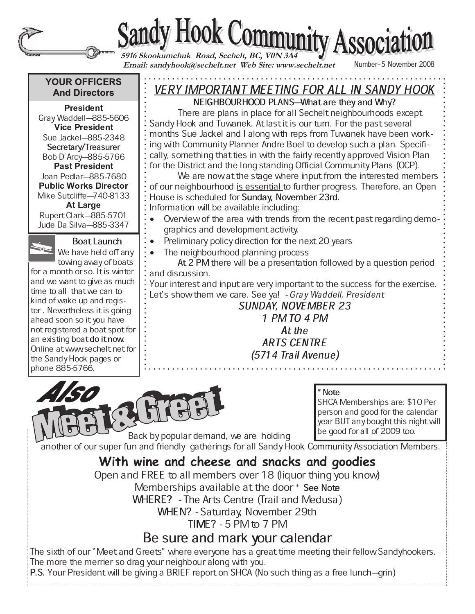# Sandy Hook Community Association

 **Email: sandyhook@sechelt.net Web Site: www.sechelt.net**

Number-5 November 2008

## **YOUR OFFICERS And Directors**

- -

Gray Waddell-885-5606 - - Sue Jackel-885-2348 Secretary/Treasurer Bob D'Arcy-885-5766 - - Joan Pedlar-885-7680 **Public Works Director** Mike Sutcliffe-740-8133 Rupert Clark-885-5701 Jude Da Silva-885-3347

Boat Launch

We have held off any towing away of boats for a month or so. It is winter and we want to give as much time to all that we can to kind of wake up and register . Nevertheless it is going ahead soon so it you have not registered a boat spot for an existing boat do it now. Online at www.sechelt.net for the Sandy Hook pages or phone 885-5766.

## VERY IMPORTANT MEETING FOR ALL IN SANDY HOOK

NEIGHBOURHOOD PLANS-What are they and Why? There are plans in place for all Sechelt neighbourhoods except Sandy Hook and Tuwanek. At last it is our turn. For the past several months Sue Jackel and I along with reps from Tuwanek have been working with Community Planner Andre Boel to develop such a plan. Specifically, something that ties in with the fairly recently approved Vision Plan for the District and the long standing Official Community Plans (OCP).

We are now at the stage where input from the interested members of our neighbourhood is essential to further progress. Therefore, an Open House is scheduled for Sunday, November 23rd. Information will be available including:

- Overview of the area with trends from the recent past regarding demo
	- graphics and development activity.
- Preliminary policy direction for the next 20 years
	- The neighbourhood planning process

At 2 PM there will be a presentation followed by a question period and discussion.

Your interest and input are very important to the success for the exercise. Let's show them we care. See ya! - Gray Waddell, President

## SUNDAY, NOVEMBER 23

1 PM TO 4 PM At the **ARTS CENTRE** (5714 Trail Avenue)



\* Note

SHCA Memberships are: \$10 Per person and good for the calendar year BUT any bought this night will be good for all of 2009 too.

Back by popular demand, we are holding

another of our super fun and friendly gatherings for all Sandy Hook Community Association Members. **With wine and cheese and snacks and goodies**

Open and FREE to all members over 18 (liquor thing you know)

Memberships available at the door \* See Note

WHERE? - The Arts Centre (Trail and Medusa)

WHEN? - Saturday, November 29th

 $TIME? - 5 PM to 7 PM$ 

## Be sure and mark your calendar

The sixth of our "Meet and Greets" where everyone has a great time meeting their fellow Sandyhookers. The more the merrier so drag your neighbour along with you.

P.S. Your President will be giving a BRIEF report on SHCA (No such thing as a free lunch–grin)